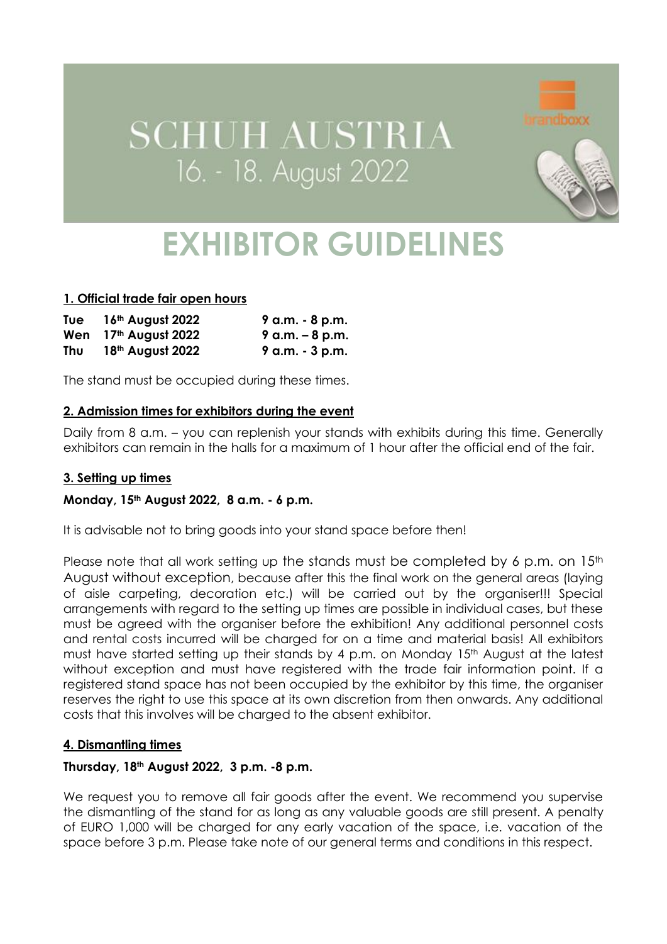# **SCHUH AUSTRIA** 16. - 18. August 2022



# **EXHIBITOR GUIDELINES**

## **1. Official trade fair open hours**

| Tue | 16th August 2022                 | 9 a.m. - 8 p.m.    |
|-----|----------------------------------|--------------------|
|     | Wen 17 <sup>th</sup> August 2022 | $9$ a.m. $-8$ p.m. |
| Thu | 18th August 2022                 | $9$ a.m. $-3$ p.m. |

The stand must be occupied during these times.

# **2. Admission times for exhibitors during the event**

Daily from 8 a.m. – you can replenish your stands with exhibits during this time. Generally exhibitors can remain in the halls for a maximum of 1 hour after the official end of the fair.

## **3. Setting up times**

## **Monday, 15th August 2022, 8 a.m. - 6 p.m.**

It is advisable not to bring goods into your stand space before then!

Please note that all work setting up the stands must be completed by 6 p.m. on 15<sup>th</sup> August without exception, because after this the final work on the general areas (laying of aisle carpeting, decoration etc.) will be carried out by the organiser!!! Special arrangements with regard to the setting up times are possible in individual cases, but these must be agreed with the organiser before the exhibition! Any additional personnel costs and rental costs incurred will be charged for on a time and material basis! All exhibitors must have started setting up their stands by 4 p.m. on Monday 15<sup>th</sup> August at the latest without exception and must have reaistered with the trade fair information point. If a registered stand space has not been occupied by the exhibitor by this time, the organiser reserves the right to use this space at its own discretion from then onwards. Any additional costs that this involves will be charged to the absent exhibitor.

## **4. Dismantling times**

## **Thursday, 18th August 2022, 3 p.m. -8 p.m.**

We request you to remove all fair goods after the event. We recommend you supervise the dismantling of the stand for as long as any valuable goods are still present. A penalty of EURO 1,000 will be charged for any early vacation of the space, i.e. vacation of the space before 3 p.m. Please take note of our general terms and conditions in this respect.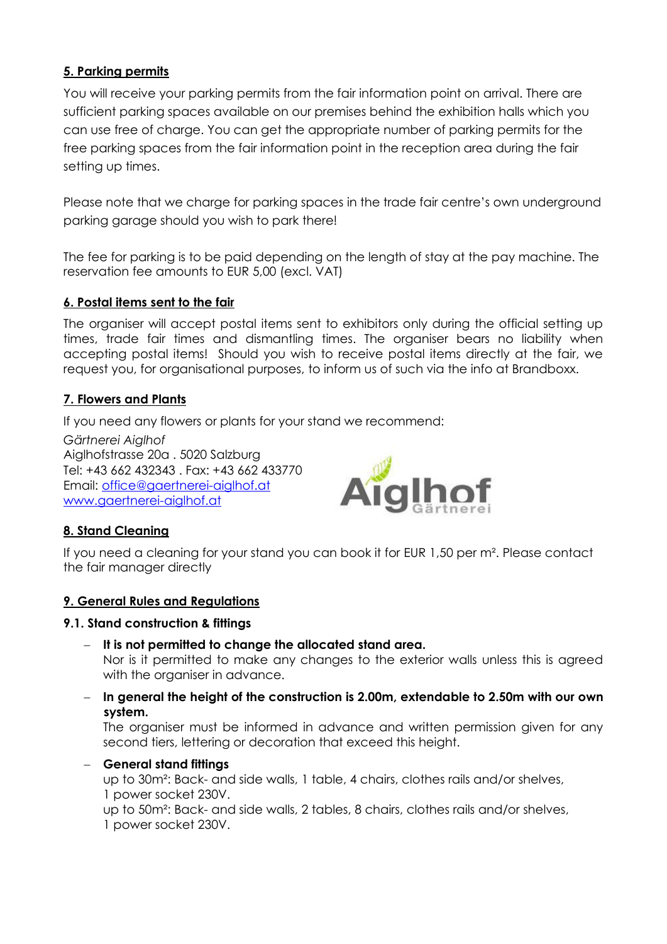# **5. Parking permits**

You will receive your parking permits from the fair information point on arrival. There are sufficient parking spaces available on our premises behind the exhibition halls which you can use free of charge. You can get the appropriate number of parking permits for the free parking spaces from the fair information point in the reception area during the fair setting up times.

Please note that we charge for parking spaces in the trade fair centre's own underground parking garage should you wish to park there!

The fee for parking is to be paid depending on the length of stay at the pay machine. The reservation fee amounts to EUR 5,00 (excl. VAT)

# **6. Postal items sent to the fair**

The organiser will accept postal items sent to exhibitors only during the official setting up times, trade fair times and dismantling times. The organiser bears no liability when accepting postal items! Should you wish to receive postal items directly at the fair, we request you, for organisational purposes, to inform us of such via the info at Brandboxx.

# **7. Flowers and Plants**

If you need any flowers or plants for your stand we recommend:

*Gärtnerei Aiglhof* Aiglhofstrasse 20a . 5020 Salzburg Tel: +43 662 432343 . Fax: +43 662 433770 Email: [office@gaertnerei-aiglhof.at](mailto:office@gaertnerei-aiglhof.at) [www.gaertnerei-aiglhof.at](http://www.gaertnerei-aiglhof.at/)



# **8. Stand Cleaning**

If you need a cleaning for your stand you can book it for EUR 1,50 per m². Please contact the fair manager directly

## **9. General Rules and Regulations**

## **9.1. Stand construction & fittings**

- − **It is not permitted to change the allocated stand area.** Nor is it permitted to make any changes to the exterior walls unless this is agreed with the organiser in advance.
- − **In general the height of the construction is 2.00m, extendable to 2.50m with our own system.**

The organiser must be informed in advance and written permission given for any second tiers, lettering or decoration that exceed this height.

## − **General stand fittings**

up to 30m²: Back- and side walls, 1 table, 4 chairs, clothes rails and/or shelves, 1 power socket 230V.

up to 50m²: Back- and side walls, 2 tables, 8 chairs, clothes rails and/or shelves, 1 power socket 230V.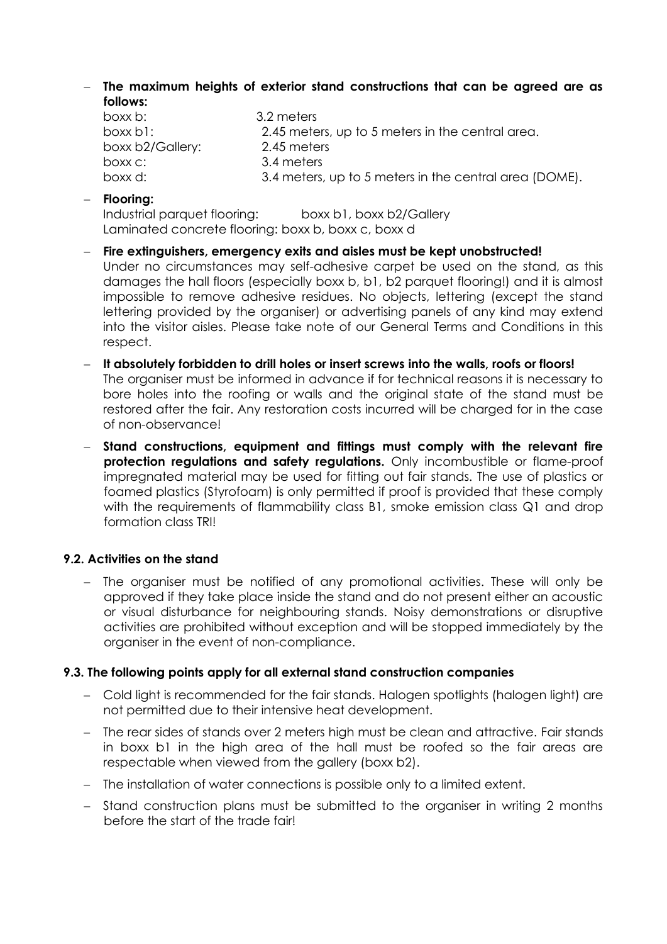− **The maximum heights of exterior stand constructions that can be agreed are as follows:**

| boxx b:          | 3.2 meters                                             |
|------------------|--------------------------------------------------------|
| $box$ boxx b1:   | 2.45 meters, up to 5 meters in the central area.       |
| boxx b2/Gallery: | 2.45 meters                                            |
| boxx c:          | 3.4 meters                                             |
| boxx d:          | 3.4 meters, up to 5 meters in the central area (DOME). |

− **Flooring:**

Industrial parquet flooring: boxx b1, boxx b2/Gallery Laminated concrete flooring: boxx b, boxx c, boxx d

- − **Fire extinguishers, emergency exits and aisles must be kept unobstructed!** Under no circumstances may self-adhesive carpet be used on the stand, as this damages the hall floors (especially boxx b, b1, b2 parquet flooring!) and it is almost impossible to remove adhesive residues. No objects, lettering (except the stand lettering provided by the organiser) or advertising panels of any kind may extend into the visitor aisles. Please take note of our General Terms and Conditions in this respect.
- − **It absolutely forbidden to drill holes or insert screws into the walls, roofs or floors!** The organiser must be informed in advance if for technical reasons it is necessary to bore holes into the roofing or walls and the original state of the stand must be restored after the fair. Any restoration costs incurred will be charged for in the case of non-observance!
- − **Stand constructions, equipment and fittings must comply with the relevant fire protection regulations and safety regulations.** Only incombustible or flame-proof impregnated material may be used for fitting out fair stands. The use of plastics or foamed plastics (Styrofoam) is only permitted if proof is provided that these comply with the requirements of flammability class B1, smoke emission class Q1 and drop formation class TRI!

## **9.2. Activities on the stand**

− The organiser must be notified of any promotional activities. These will only be approved if they take place inside the stand and do not present either an acoustic or visual disturbance for neighbouring stands. Noisy demonstrations or disruptive activities are prohibited without exception and will be stopped immediately by the organiser in the event of non-compliance.

## **9.3. The following points apply for all external stand construction companies**

- − Cold light is recommended for the fair stands. Halogen spotlights (halogen light) are not permitted due to their intensive heat development.
- − The rear sides of stands over 2 meters high must be clean and attractive. Fair stands in boxx b1 in the high area of the hall must be roofed so the fair areas are respectable when viewed from the gallery (boxx b2).
- − The installation of water connections is possible only to a limited extent.
- − Stand construction plans must be submitted to the organiser in writing 2 months before the start of the trade fair!